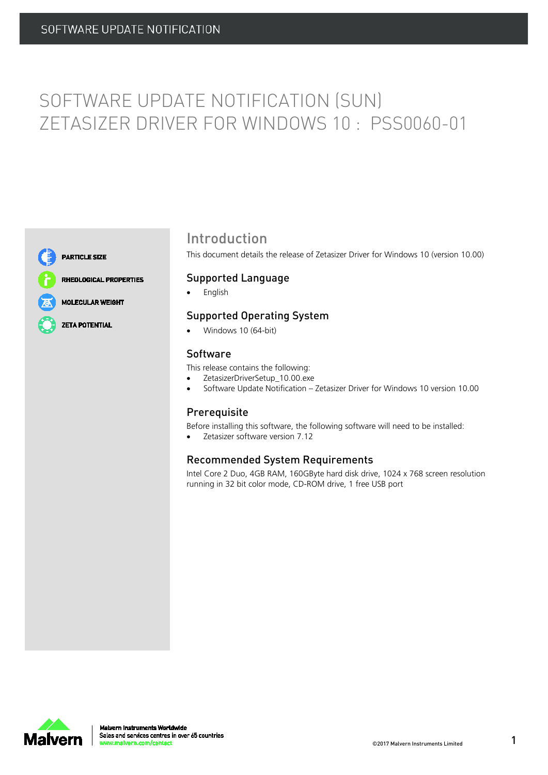# SOFTWARE UPDATE NOTIFICATION (SUN) ZETASIZER DRIVER FOR WINDOWS 10 : PSS0060-01



**PARTICLE SIZE** 

**RHEOLOGICAL PROPERTIES** 

**MOLECULAR WEIGHT** 

**ZETA POTENTIAL** 

### Introduction

This document details the release of Zetasizer Driver for Windows 10 (version 10.00)

#### Supported Language

• English

### Supported Operating System

• Windows 10 (64-bit)

#### Software

This release contains the following:

- ZetasizerDriverSetup\_10.00.exe
- Software Update Notification Zetasizer Driver for Windows 10 version 10.00

### Prerequisite

Before installing this software, the following software will need to be installed:

Zetasizer software version 7.12

### Recommended System Requirements

Intel Core 2 Duo, 4GB RAM, 160GByte hard disk drive, 1024 x 768 screen resolution running in 32 bit color mode, CD-ROM drive, 1 free USB port

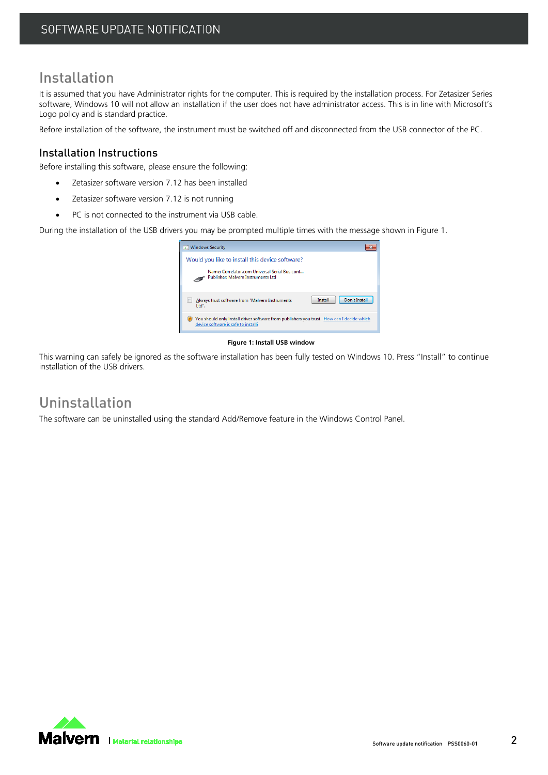### Installation

It is assumed that you have Administrator rights for the computer. This is required by the installation process. For Zetasizer Series software, Windows 10 will not allow an installation if the user does not have administrator access. This is in line with Microsoft's Logo policy and is standard practice.

Before installation of the software, the instrument must be switched off and disconnected from the USB connector of the PC.

### Installation Instructions

Before installing this software, please ensure the following:

- Zetasizer software version 7.12 has been installed
- Zetasizer software version 7.12 is not running
- PC is not connected to the instrument via USB cable.

During the installation of the USB drivers you may be prompted multiple times with the message shown i[n Figure 1.](#page-1-0)



#### **Figure 1: Install USB window**

<span id="page-1-0"></span>This warning can safely be ignored as the software installation has been fully tested on Windows 10. Press "Install" to continue installation of the USB drivers.

### Uninstallation

The software can be uninstalled using the standard Add/Remove feature in the Windows Control Panel.